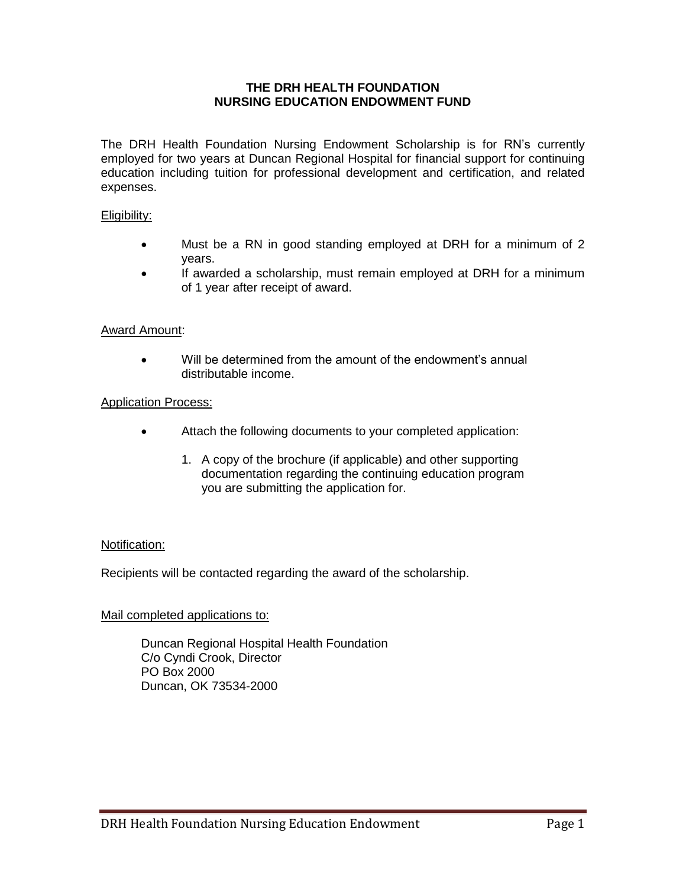## **THE DRH HEALTH FOUNDATION NURSING EDUCATION ENDOWMENT FUND**

The DRH Health Foundation Nursing Endowment Scholarship is for RN's currently employed for two years at Duncan Regional Hospital for financial support for continuing education including tuition for professional development and certification, and related expenses.

## Eligibility:

- Must be a RN in good standing employed at DRH for a minimum of 2 years.
- If awarded a scholarship, must remain employed at DRH for a minimum of 1 year after receipt of award.

## Award Amount:

 Will be determined from the amount of the endowment's annual distributable income.

#### Application Process:

- Attach the following documents to your completed application:
	- 1. A copy of the brochure (if applicable) and other supporting documentation regarding the continuing education program you are submitting the application for.

#### Notification:

Recipients will be contacted regarding the award of the scholarship.

#### Mail completed applications to:

Duncan Regional Hospital Health Foundation C/o Cyndi Crook, Director PO Box 2000 Duncan, OK 73534-2000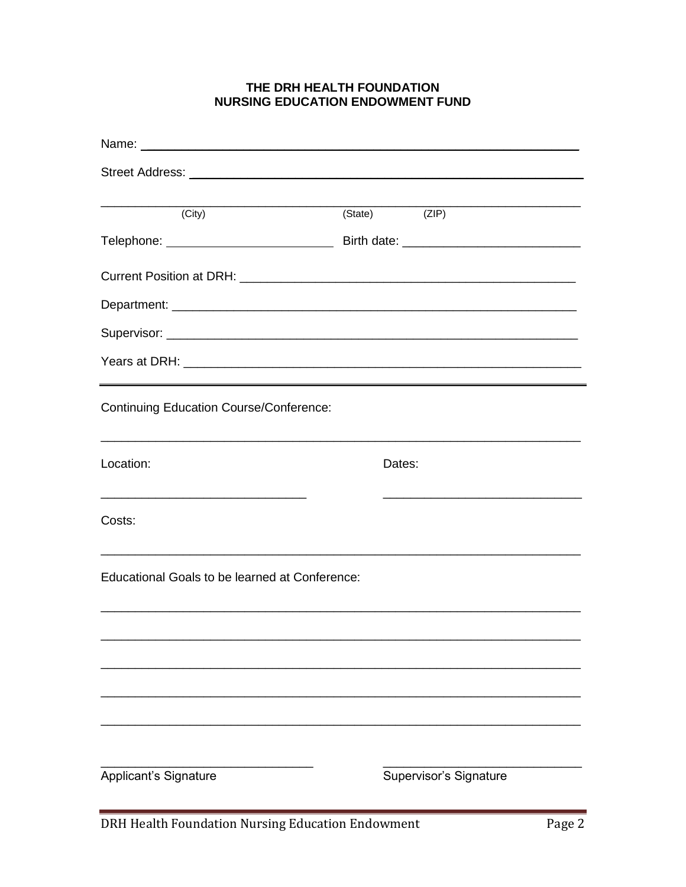# THE DRH HEALTH FOUNDATION **NURSING EDUCATION ENDOWMENT FUND**

| (City)                                                                                                                             | (State) | $\overline{(ZIP)}$                                             |
|------------------------------------------------------------------------------------------------------------------------------------|---------|----------------------------------------------------------------|
|                                                                                                                                    |         |                                                                |
|                                                                                                                                    |         |                                                                |
|                                                                                                                                    |         |                                                                |
|                                                                                                                                    |         |                                                                |
|                                                                                                                                    |         |                                                                |
| <b>Continuing Education Course/Conference:</b><br>,我们也不能在这里的人,我们也不能在这里的人,我们也不能在这里的人,我们也不能在这里的人,我们也不能在这里的人,我们也不能在这里的人,我们也不能在这里的人,我们 |         |                                                                |
| Location:                                                                                                                          | Dates:  |                                                                |
| Costs:                                                                                                                             |         | <u> 1989 - Johann Barbara, margaret eta idazlea (h. 1989).</u> |
| Educational Goals to be learned at Conference:                                                                                     |         |                                                                |
|                                                                                                                                    |         |                                                                |
|                                                                                                                                    |         |                                                                |
|                                                                                                                                    |         |                                                                |
|                                                                                                                                    |         |                                                                |
| Applicant's Signature                                                                                                              |         | Supervisor's Signature                                         |